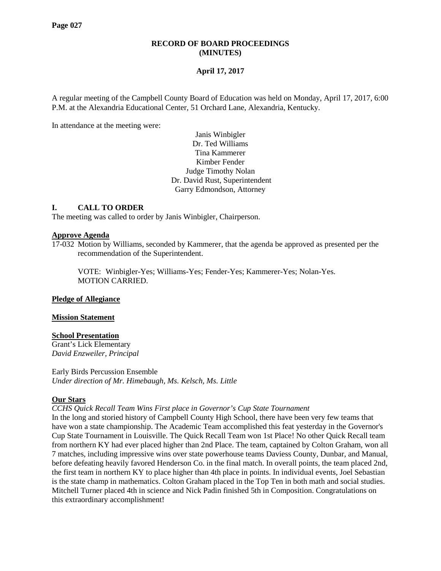# **RECORD OF BOARD PROCEEDINGS (MINUTES)**

# **April 17, 2017**

A regular meeting of the Campbell County Board of Education was held on Monday, April 17, 2017, 6:00 P.M. at the Alexandria Educational Center, 51 Orchard Lane, Alexandria, Kentucky.

In attendance at the meeting were:

Janis Winbigler Dr. Ted Williams Tina Kammerer Kimber Fender Judge Timothy Nolan Dr. David Rust, Superintendent Garry Edmondson, Attorney

# **I. CALL TO ORDER**

The meeting was called to order by Janis Winbigler, Chairperson.

#### **Approve Agenda**

17-032 Motion by Williams, seconded by Kammerer, that the agenda be approved as presented per the recommendation of the Superintendent.

VOTE: Winbigler-Yes; Williams-Yes; Fender-Yes; Kammerer-Yes; Nolan-Yes. MOTION CARRIED.

# **Pledge of Allegiance**

#### **Mission Statement**

# **School Presentation**

Grant's Lick Elementary *David Enzweiler, Principal*

Early Birds Percussion Ensemble *Under direction of Mr. Himebaugh, Ms. Kelsch, Ms. Little*

# **Our Stars**

*CCHS Quick Recall Team Wins First place in Governor's Cup State Tournament*

In the long and storied history of Campbell County High School, there have been very few teams that have won a state championship. The Academic Team accomplished this feat yesterday in the Governor's Cup State Tournament in Louisville. The Quick Recall Team won 1st Place! No other Quick Recall team from northern KY had ever placed higher than 2nd Place. The team, captained by Colton Graham, won all 7 matches, including impressive wins over state powerhouse teams Daviess County, Dunbar, and Manual, before defeating heavily favored Henderson Co. in the final match. In overall points, the team placed 2nd, the first team in northern KY to place higher than 4th place in points. In individual events, Joel Sebastian is the state champ in mathematics. Colton Graham placed in the Top Ten in both math and social studies. Mitchell Turner placed 4th in science and Nick Padin finished 5th in Composition. Congratulations on this extraordinary accomplishment!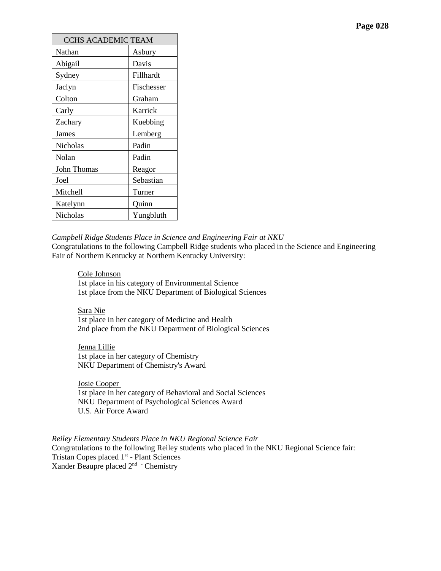| <b>CCHS ACADEMIC TEAM</b> |            |  |  |
|---------------------------|------------|--|--|
| Nathan                    | Asbury     |  |  |
| Abigail                   | Davis      |  |  |
| Sydney                    | Fillhardt  |  |  |
| Jaclyn                    | Fischesser |  |  |
| Colton                    | Graham     |  |  |
| Carly                     | Karrick    |  |  |
| Zachary                   | Kuebbing   |  |  |
| James                     | Lemberg    |  |  |
| Nicholas                  | Padin      |  |  |
| Nolan                     | Padin      |  |  |
| John Thomas               | Reagor     |  |  |
| Joel                      | Sebastian  |  |  |
| Mitchell                  | Turner     |  |  |
| Katelynn                  | Quinn      |  |  |
| Nicholas                  | Yungbluth  |  |  |

#### *Campbell Ridge Students Place in Science and Engineering Fair at NKU*

Congratulations to the following Campbell Ridge students who placed in the Science and Engineering Fair of Northern Kentucky at Northern Kentucky University:

#### Cole Johnson

1st place in his category of Environmental Science 1st place from the NKU Department of Biological Sciences

# Sara Nie

1st place in her category of Medicine and Health 2nd place from the NKU Department of Biological Sciences

Jenna Lillie 1st place in her category of Chemistry NKU Department of Chemistry's Award

Josie Cooper 1st place in her category of Behavioral and Social Sciences NKU Department of Psychological Sciences Award U.S. Air Force Award

*[Reiley Elementary Students Place in NKU Regional Science Fair](http://www.campbellcountyschools.org/News/54518)* Congratulations to the following Reiley students who placed in the NKU Regional Science fair: Tristan Copes placed 1<sup>st</sup> - Plant Sciences Xander Beaupre placed 2nd - Chemistry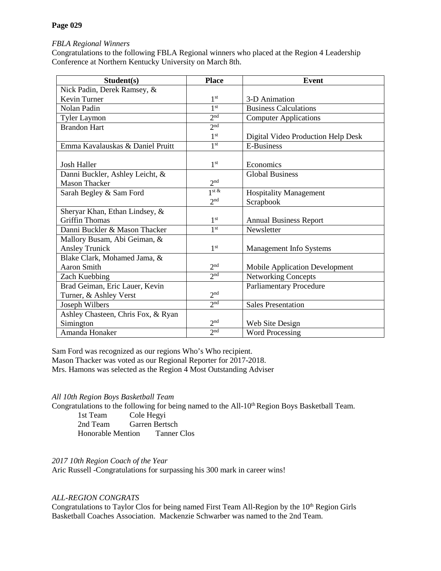# *[FBLA Regional Winners](http://www.campbellcountyschools.org/News/54522)*

Congratulations to the following FBLA Regional winners who placed at the Region 4 Leadership Conference at Northern Kentucky University on March 8th.

| Student(s)                         | <b>Place</b>    | <b>Event</b>                          |
|------------------------------------|-----------------|---------------------------------------|
| Nick Padin, Derek Ramsey, &        |                 |                                       |
| <b>Kevin Turner</b>                | 1 <sup>st</sup> | 3-D Animation                         |
| Nolan Padin                        | 1 <sup>st</sup> | <b>Business Calculations</b>          |
| <b>Tyler Laymon</b>                | 2 <sub>nd</sub> | <b>Computer Applications</b>          |
| <b>Brandon Hart</b>                | 2 <sub>nd</sub> |                                       |
|                                    | 1 <sup>st</sup> | Digital Video Production Help Desk    |
| Emma Kavalauskas & Daniel Pruitt   | 1 <sup>st</sup> | <b>E-Business</b>                     |
|                                    |                 |                                       |
| <b>Josh Haller</b>                 | 1 <sup>st</sup> | Economics                             |
| Danni Buckler, Ashley Leicht, &    |                 | <b>Global Business</b>                |
| <b>Mason Thacker</b>               | 2 <sub>nd</sub> |                                       |
| Sarah Begley & Sam Ford            | $1$ st &        | <b>Hospitality Management</b>         |
|                                    | 2 <sup>nd</sup> | Scrapbook                             |
| Sheryar Khan, Ethan Lindsey, &     |                 |                                       |
| <b>Griffin Thomas</b>              | 1 <sup>st</sup> | <b>Annual Business Report</b>         |
| Danni Buckler & Mason Thacker      | 1 <sup>st</sup> | Newsletter                            |
| Mallory Busam, Abi Geiman, &       |                 |                                       |
| <b>Ansley Trunick</b>              | 1 <sup>st</sup> | Management Info Systems               |
| Blake Clark, Mohamed Jama, &       |                 |                                       |
| <b>Aaron Smith</b>                 | 2 <sup>nd</sup> | <b>Mobile Application Development</b> |
| Zach Kuebbing                      | 2 <sub>nd</sub> | <b>Networking Concepts</b>            |
| Brad Geiman, Eric Lauer, Kevin     |                 | <b>Parliamentary Procedure</b>        |
| Turner, & Ashley Verst             | 2 <sub>nd</sub> |                                       |
| Joseph Wilbers                     | 2 <sub>nd</sub> | <b>Sales Presentation</b>             |
| Ashley Chasteen, Chris Fox, & Ryan |                 |                                       |
| Simington                          | 2 <sub>nd</sub> | Web Site Design                       |
| Amanda Honaker                     | 2 <sub>nd</sub> | <b>Word Processing</b>                |

Sam Ford was recognized as our regions Who's Who recipient. Mason Thacker was voted as our Regional Reporter for 2017-2018. Mrs. Hamons was selected as the Region 4 Most Outstanding Adviser

# *[All 10th Region Boys Basketball Team](http://www.campbellcountyschools.org/News/54520)*

Congratulations to the following for being named to the All-10<sup>th</sup> Region Boys Basketball Team.

1st Team Cole Hegyi<br>
2nd Team Garren Berts Garren Bertsch<br>tion Tanner Clos Honorable Mention

# *2017 10th Region Coach of the Year*

Aric Russell -Congratulations for surpassing his 300 mark in career wins!

# *[ALL-REGION](http://www.campbellcountyschools.org/News/54499) CONGRATS*

Congratulations to Taylor Clos for being named First Team All-Region by the 10<sup>th</sup> Region Girls Basketball Coaches Association. Mackenzie Schwarber was named to the 2nd Team.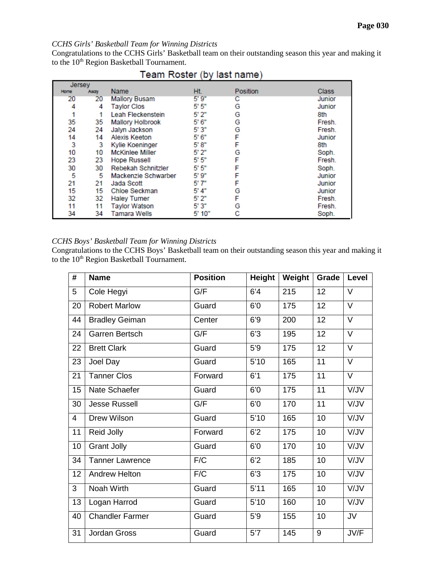# *CCHS Girls' Basketball Team for Winning Districts*

Congratulations to the CCHS Girls' Basketball team on their outstanding season this year and making it to the 10<sup>th</sup> Region Basketball Tournament.

| <b>Jersey</b> |      |                         |        |          |              |
|---------------|------|-------------------------|--------|----------|--------------|
| <b>Home</b>   | Away | <b>Name</b>             | Ht.    | Position | <b>Class</b> |
| 20            | 20   | <b>Mallory Busam</b>    | 5'9''  | с        | Junior       |
| 4             | 4    | <b>Taylor Clos</b>      | 5'5''  | G        | Junior       |
|               |      | Leah Fleckenstein       | 5'2"   | G        | 8th          |
| 35            | 35   | <b>Mallory Holbrook</b> | 5'6''  | G        | Fresh.       |
| 24            | 24   | Jalyn Jackson           | 5'3"   | G        | Fresh.       |
| 14            | 14   | Alexis Keeton           | 5' 6"  | F        | Junior       |
| 3             | 3    | <b>Kylie Koeninger</b>  | 5'8"   | F        | 8th          |
| 10            | 10   | <b>McKinlee Miller</b>  | 5'2''  | G        | Soph.        |
| 23            | 23   | <b>Hope Russell</b>     | 5' 5"  | F        | Fresh.       |
| 30            | 30   | Rebekah Schnitzler      | 5' 5"  | F        | Soph.        |
| 5             | 5    | Mackenzie Schwarber     | 5' 9"  | F        | Junior       |
| 21            | 21   | Jada Scott              | 5' 7"  | F        | Junior       |
| 15            | 15   | Chloe Seckman           | 5' 4"  | G        | Junior       |
| 32            | 32   | <b>Haley Turner</b>     | 5' 2"  | F        | Fresh.       |
| 11            | 11   | <b>Tavlor Watson</b>    | 5'3"   | G        | Fresh.       |
| 34            | 34   | Tamara Wells            | 5' 10" | С        | Soph.        |

# Team Roster (by last name)

# *CCHS Boys' Basketball Team for Winning Districts*

Congratulations to the CCHS Boys' Basketball team on their outstanding season this year and making it to the 10<sup>th</sup> Region Basketball Tournament.

| #              | <b>Name</b>            | <b>Position</b> | <b>Height</b> | Weight | Grade           | <b>Level</b>    |
|----------------|------------------------|-----------------|---------------|--------|-----------------|-----------------|
| 5              | Cole Hegyi             | G/F             | 6'4           | 215    | 12              | $\vee$          |
| 20             | <b>Robert Marlow</b>   | Guard           | 6'0           | 175    | 12              | $\vee$          |
| 44             | <b>Bradley Geiman</b>  | Center          | 6'9           | 200    | 12              | $\vee$          |
| 24             | Garren Bertsch         | G/F             | 6'3           | 195    | 12              | $\vee$          |
| 22             | <b>Brett Clark</b>     | Guard           | 5'9           | 175    | 12              | V               |
| 23             | Joel Day               | Guard           | 5'10          | 165    | 11              | $\vee$          |
| 21             | <b>Tanner Clos</b>     | Forward         | 6'1           | 175    | 11              | $\vee$          |
| 15             | Nate Schaefer          | Guard           | 6'0           | 175    | 11              | VIJV            |
| 30             | <b>Jesse Russell</b>   | G/F             | 6'0           | 170    | 11              | V/JV            |
| $\overline{4}$ | Drew Wilson            | Guard           | 5'10          | 165    | 10              | VIJV            |
| 11             | Reid Jolly             | Forward         | 6'2           | 175    | 10              | V/JV            |
| 10             | <b>Grant Jolly</b>     | Guard           | 6'0           | 170    | $\overline{10}$ | VI <sub>V</sub> |
| 34             | <b>Tanner Lawrence</b> | F/C             | 6'2           | 185    | 10              | V/JV            |
| 12             | <b>Andrew Helton</b>   | F/C             | 6'3           | 175    | 10              | V/JV            |
| 3              | Noah Wirth             | Guard           | 5'11          | 165    | 10              | VIJV            |
| 13             | Logan Harrod           | Guard           | 5'10          | 160    | 10              | V/JV            |
| 40             | <b>Chandler Farmer</b> | Guard           | 5'9           | 155    | 10              | JV              |
| 31             | <b>Jordan Gross</b>    | Guard           | 5'7           | 145    | 9               | JV/F            |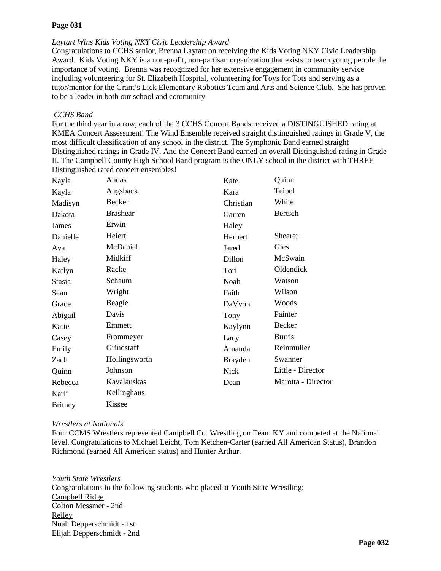# *[Laytart Wins Kids Voting NKY Civic Leadership Award](http://www.campbellcountyschools.org/News/54533)*

Congratulations to CCHS senior, Brenna Laytart on receiving the Kids Voting NKY Civic Leadership Award. Kids Voting NKY is a non-profit, non-partisan organization that exists to teach young people the importance of voting. Brenna was recognized for her extensive engagement in community service including volunteering for St. Elizabeth Hospital, volunteering for Toys for Tots and serving as a tutor/mentor for the Grant's Lick Elementary Robotics Team and Arts and Science Club. She has proven to be a leader in both our school and community

# *CCHS Band*

For the third year in a row, each of the 3 CCHS Concert Bands received a DISTINGUISHED rating at KMEA Concert Assessment! The Wind Ensemble received straight distinguished ratings in Grade V, the most difficult classification of any school in the district. The Symphonic Band earned straight Distinguished ratings in Grade IV. And the Concert Band earned an overall Distinguished rating in Grade II. The Campbell County High School Band program is the ONLY school in the district with THREE Distinguished rated concert ensembles!

| Kayla          | Audas           | Kate           | Quinn              |
|----------------|-----------------|----------------|--------------------|
| Kayla          | Augsback        | Kara           | Teipel             |
| Madisyn        | Becker          | Christian      | White              |
| Dakota         | <b>Brashear</b> | Garren         | Bertsch            |
| James          | Erwin           | Haley          |                    |
| Danielle       | Heiert          | Herbert        | <b>Shearer</b>     |
| Ava            | McDaniel        | Jared          | Gies               |
| Haley          | Midkiff         | Dillon         | McSwain            |
| Katlyn         | Racke           | Tori           | Oldendick          |
| Stasia         | Schaum          | Noah           | Watson             |
| Sean           | Wright          | Faith          | Wilson             |
| Grace          | Beagle          | DaVvon         | Woods              |
| Abigail        | Davis           | Tony           | Painter            |
| Katie          | Emmett          | Kaylynn        | Becker             |
| Casey          | Frommeyer       | Lacy           | <b>Burris</b>      |
| Emily          | Grindstaff      | Amanda         | Reinmuller         |
| Zach           | Hollingsworth   | <b>Brayden</b> | Swanner            |
| Quinn          | Johnson         | <b>Nick</b>    | Little - Director  |
| Rebecca        | Kavalauskas     | Dean           | Marotta - Director |
| Karli          | Kellinghaus     |                |                    |
| <b>Britney</b> | Kissee          |                |                    |

# *[Wrestlers at Nationals](http://www.campbellcountyschools.org/News/54540)*

Four CCMS Wrestlers represented Campbell Co. Wrestling on Team KY and competed at the National level. Congratulations to Michael Leicht, Tom Ketchen-Carter (earned All American Status), Brandon Richmond (earned All American status) and Hunter Arthur.

*Youth State Wrestlers*  Congratulations to the following students who placed at Youth State Wrestling: Campbell Ridge Colton Messmer - 2nd Reiley Noah Depperschmidt - 1st Elijah Depperschmidt - 2nd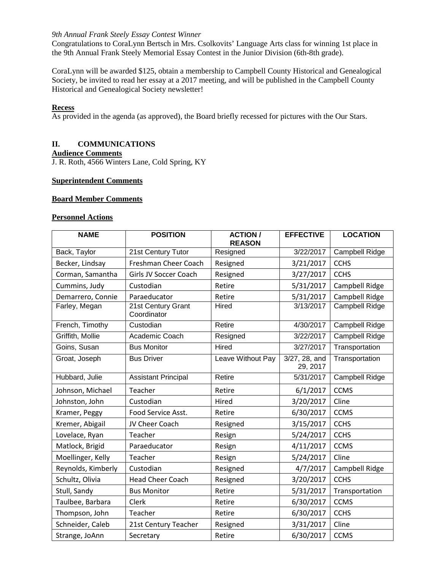#### *[9th Annual Frank Steely Essay Contest Winner](http://www.campbellcountyschools.org/News/54541)*

Congratulations to CoraLynn Bertsch in Mrs. Csolkovits' Language Arts class for winning 1st place in the 9th Annual Frank Steely Memorial Essay Contest in the Junior Division (6th-8th grade).

CoraLynn will be awarded \$125, obtain a membership to Campbell County Historical and Genealogical Society, be invited to read her essay at a 2017 meeting, and will be published in the Campbell County Historical and Genealogical Society newsletter!

### **Recess**

As provided in the agenda (as approved), the Board briefly recessed for pictures with the Our Stars.

# **II. COMMUNICATIONS**

# **Audience Comments**

J. R. Roth, 4566 Winters Lane, Cold Spring, KY

# **Superintendent Comments**

#### **Board Member Comments**

### **Personnel Actions**

| <b>NAME</b>        | <b>POSITION</b>                   | <b>ACTION /</b><br><b>REASON</b> | <b>EFFECTIVE</b>          | <b>LOCATION</b>       |
|--------------------|-----------------------------------|----------------------------------|---------------------------|-----------------------|
| Back, Taylor       | 21st Century Tutor                | Resigned                         | 3/22/2017                 | Campbell Ridge        |
| Becker, Lindsay    | Freshman Cheer Coach              | Resigned                         | 3/21/2017                 | <b>CCHS</b>           |
| Corman, Samantha   | Girls JV Soccer Coach             | Resigned                         | 3/27/2017                 | <b>CCHS</b>           |
| Cummins, Judy      | Custodian                         | Retire                           | 5/31/2017                 | Campbell Ridge        |
| Demarrero, Connie  | Paraeducator                      | Retire                           | 5/31/2017                 | Campbell Ridge        |
| Farley, Megan      | 21st Century Grant<br>Coordinator | Hired                            | 3/13/2017                 | Campbell Ridge        |
| French, Timothy    | Custodian                         | Retire                           | 4/30/2017                 | <b>Campbell Ridge</b> |
| Griffith, Mollie   | Academic Coach                    | Resigned                         | 3/22/2017                 | Campbell Ridge        |
| Goins, Susan       | <b>Bus Monitor</b>                | Hired                            | 3/27/2017                 | Transportation        |
| Groat, Joseph      | <b>Bus Driver</b>                 | Leave Without Pay                | 3/27, 28, and<br>29, 2017 | Transportation        |
| Hubbard, Julie     | <b>Assistant Principal</b>        | Retire                           | 5/31/2017                 | <b>Campbell Ridge</b> |
| Johnson, Michael   | Teacher                           | Retire                           | 6/1/2017                  | <b>CCMS</b>           |
| Johnston, John     | Custodian                         | Hired                            | 3/20/2017                 | Cline                 |
| Kramer, Peggy      | Food Service Asst.                | Retire                           | 6/30/2017                 | <b>CCMS</b>           |
| Kremer, Abigail    | JV Cheer Coach                    | Resigned                         | 3/15/2017                 | <b>CCHS</b>           |
| Lovelace, Ryan     | Teacher                           | Resign                           | 5/24/2017                 | <b>CCHS</b>           |
| Matlock, Brigid    | Paraeducator                      | Resign                           | 4/11/2017                 | <b>CCMS</b>           |
| Moellinger, Kelly  | Teacher                           | Resign                           | 5/24/2017                 | Cline                 |
| Reynolds, Kimberly | Custodian                         | Resigned                         | 4/7/2017                  | Campbell Ridge        |
| Schultz, Olivia    | <b>Head Cheer Coach</b>           | Resigned                         | 3/20/2017                 | <b>CCHS</b>           |
| Stull, Sandy       | <b>Bus Monitor</b>                | Retire                           | 5/31/2017                 | Transportation        |
| Taulbee, Barbara   | Clerk                             | Retire                           | 6/30/2017                 | <b>CCMS</b>           |
| Thompson, John     | Teacher                           | Retire                           | 6/30/2017                 | <b>CCHS</b>           |
| Schneider, Caleb   | 21st Century Teacher              | Resigned                         | 3/31/2017                 | Cline                 |
| Strange, JoAnn     | Secretary                         | Retire                           | 6/30/2017                 | <b>CCMS</b>           |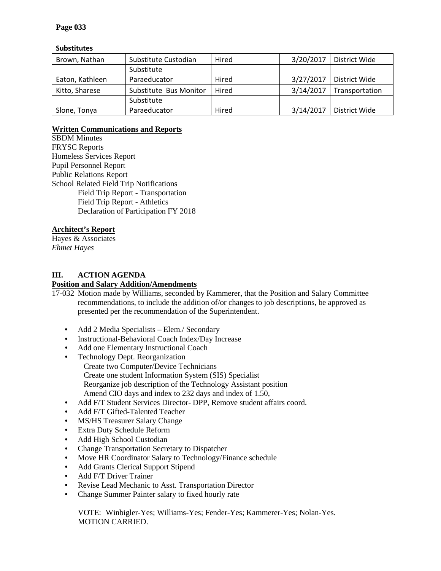# **Substitutes**

| Brown, Nathan   | Substitute Custodian   | Hired | 3/20/2017 | District Wide  |
|-----------------|------------------------|-------|-----------|----------------|
|                 | Substitute             |       |           |                |
| Eaton, Kathleen | Paraeducator           | Hired | 3/27/2017 | District Wide  |
| Kitto, Sharese  | Substitute Bus Monitor | Hired | 3/14/2017 | Transportation |
|                 | Substitute             |       |           |                |
| Slone, Tonya    | Paraeducator           | Hired | 3/14/2017 | District Wide  |

# **Written Communications and Reports**

SBDM Minutes FRYSC Reports Homeless Services Report Pupil Personnel Report Public Relations Report School Related Field Trip Notifications Field Trip Report - Transportation Field Trip Report - Athletics Declaration of Participation FY 2018

# **Architect's Report**

Hayes & Associates *Ehmet Hayes*

# **III. ACTION AGENDA**

### **Position and Salary Addition/Amendments**

17-032 Motion made by Williams, seconded by Kammerer, that the Position and Salary Committee recommendations, to include the addition of/or changes to job descriptions, be approved as presented per the recommendation of the Superintendent.

- Add 2 Media Specialists Elem./ Secondary
- Instructional-Behavioral Coach Index/Day Increase
- Add one Elementary Instructional Coach
- Technology Dept. Reorganization Create two Computer/Device Technicians Create one student Information System (SIS) Specialist Reorganize job description of the Technology Assistant position Amend CIO days and index to 232 days and index of 1.50,
- Add F/T Student Services Director- DPP, Remove student affairs coord.
- Add F/T Gifted-Talented Teacher
- MS/HS Treasurer Salary Change
- Extra Duty Schedule Reform
- Add High School Custodian
- Change Transportation Secretary to Dispatcher
- Move HR Coordinator Salary to Technology/Finance schedule
- Add Grants Clerical Support Stipend
- Add F/T Driver Trainer
- Revise Lead Mechanic to Asst. Transportation Director
- Change Summer Painter salary to fixed hourly rate

VOTE: Winbigler-Yes; Williams-Yes; Fender-Yes; Kammerer-Yes; Nolan-Yes. MOTION CARRIED.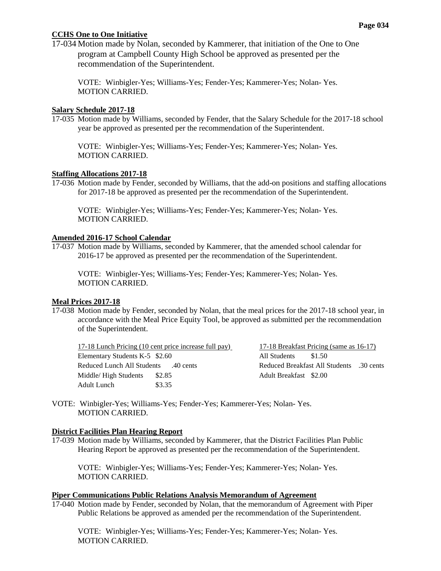# **CCHS One to One Initiative**

17-034 Motion made by Nolan, seconded by Kammerer, that initiation of the One to One program at Campbell County High School be approved as presented per the recommendation of the Superintendent.

VOTE: Winbigler-Yes; Williams-Yes; Fender-Yes; Kammerer-Yes; Nolan- Yes. MOTION CARRIED.

### **Salary Schedule 2017-18**

17-035 Motion made by Williams, seconded by Fender, that the Salary Schedule for the 2017-18 school year be approved as presented per the recommendation of the Superintendent.

VOTE: Winbigler-Yes; Williams-Yes; Fender-Yes; Kammerer-Yes; Nolan- Yes. MOTION CARRIED.

# **Staffing Allocations 2017-18**

17-036 Motion made by Fender, seconded by Williams, that the add-on positions and staffing allocations for 2017-18 be approved as presented per the recommendation of the Superintendent.

VOTE: Winbigler-Yes; Williams-Yes; Fender-Yes; Kammerer-Yes; Nolan- Yes. MOTION CARRIED.

### **Amended 2016-17 School Calendar**

17-037 Motion made by Williams, seconded by Kammerer, that the amended school calendar for 2016-17 be approved as presented per the recommendation of the Superintendent.

VOTE: Winbigler-Yes; Williams-Yes; Fender-Yes; Kammerer-Yes; Nolan- Yes. MOTION CARRIED.

# **Meal Prices 2017-18**

17-038 Motion made by Fender, seconded by Nolan, that the meal prices for the 2017-18 school year, in accordance with the Meal Price Equity Tool, be approved as submitted per the recommendation of the Superintendent.

|                                | 17-18 Lunch Pricing (10 cent price increase full pay) |
|--------------------------------|-------------------------------------------------------|
| Elementary Students K-5 \$2.60 |                                                       |
| All Students 40 cents          |                                                       |
| Middle/High Students           | \$2.85                                                |
| Adult Lunch                    | \$3.35                                                |

 $17-18$  Breakfast Pricing (same as  $16-17$ ) All Students \$1.50 Reduced Breakfast All Students .30 cents Adult Breakfast \$2.00

VOTE: Winbigler-Yes; Williams-Yes; Fender-Yes; Kammerer-Yes; Nolan- Yes. MOTION CARRIED.

# **District Facilities Plan Hearing Report**

17-039 Motion made by Williams, seconded by Kammerer, that the District Facilities Plan Public Hearing Report be approved as presented per the recommendation of the Superintendent.

VOTE: Winbigler-Yes; Williams-Yes; Fender-Yes; Kammerer-Yes; Nolan- Yes. MOTION CARRIED.

#### **Piper Communications Public Relations Analysis Memorandum of Agreement**

17-040 Motion made by Fender, seconded by Nolan, that the memorandum of Agreement with Piper Public Relations be approved as amended per the recommendation of the Superintendent.

VOTE: Winbigler-Yes; Williams-Yes; Fender-Yes; Kammerer-Yes; Nolan- Yes. MOTION CARRIED.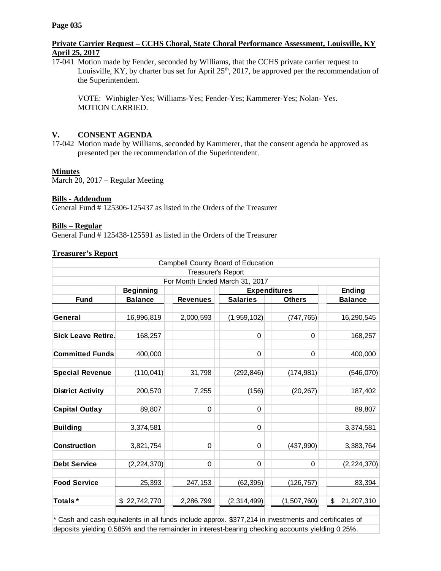# **Private Carrier Request – CCHS Choral, State Choral Performance Assessment, Louisville, KY April 25, 2017**

17-041 Motion made by Fender, seconded by Williams, that the CCHS private carrier request to Louisville, KY, by charter bus set for April  $25<sup>th</sup>$ , 2017, be approved per the recommendation of the Superintendent.

VOTE: Winbigler-Yes; Williams-Yes; Fender-Yes; Kammerer-Yes; Nolan- Yes. MOTION CARRIED.

# **V. CONSENT AGENDA**

17-042 Motion made by Williams, seconded by Kammerer, that the consent agenda be approved as presented per the recommendation of the Superintendent.

# **Minutes**

March 20, 2017 – Regular Meeting

# **Bills - Addendum**

General Fund #125306-125437 as listed in the Orders of the Treasurer

# **Bills – Regular**

General Fund # 125438-125591 as listed in the Orders of the Treasurer

# **Treasurer's Report**

| Campbell County Board of Education |                  |                 |                                |                     |                  |  |
|------------------------------------|------------------|-----------------|--------------------------------|---------------------|------------------|--|
| Treasurer's Report                 |                  |                 |                                |                     |                  |  |
|                                    |                  |                 | For Month Ended March 31, 2017 |                     |                  |  |
|                                    | <b>Beginning</b> |                 |                                | <b>Expenditures</b> | Ending           |  |
| <b>Fund</b>                        | <b>Balance</b>   | <b>Revenues</b> | <b>Salaries</b>                | <b>Others</b>       | <b>Balance</b>   |  |
| General                            | 16,996,819       | 2,000,593       | (1,959,102)                    | (747, 765)          | 16,290,545       |  |
| <b>Sick Leave Retire.</b>          | 168,257          |                 | 0                              | 0                   | 168,257          |  |
| <b>Committed Funds</b>             | 400,000          |                 | $\Omega$                       | $\Omega$            | 400,000          |  |
| <b>Special Revenue</b>             | (110, 041)       | 31,798          | (292, 846)                     | (174, 981)          | (546, 070)       |  |
| <b>District Activity</b>           | 200,570          | 7,255           | (156)                          | (20, 267)           | 187,402          |  |
| <b>Capital Outlay</b>              | 89,807           | 0               | 0                              |                     | 89,807           |  |
| <b>Building</b>                    | 3,374,581        |                 | $\Omega$                       |                     | 3,374,581        |  |
| Construction                       | 3,821,754        | 0               | $\Omega$                       | (437, 990)          | 3,383,764        |  |
| <b>Debt Service</b>                | (2,224,370)      | 0               | 0                              | $\Omega$            | (2,224,370)      |  |
| <b>Food Service</b>                | 25,393           | 247,153         | (62, 395)                      | (126, 757)          | 83,394           |  |
| Totals*                            | \$22,742,770     | 2,286,799       | (2,314,499)                    | (1,507,760)         | \$<br>21,207,310 |  |

\* Cash and cash equivalents in all funds include approx. \$377,214 in investments and certificates of deposits yielding 0.585% and the remainder in interest-bearing checking accounts yielding 0.25%.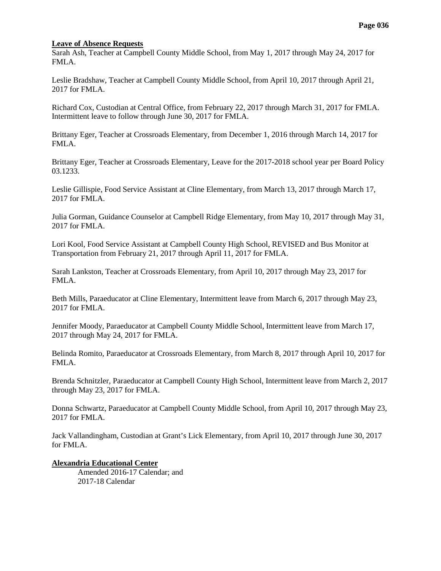#### **Leave of Absence Requests**

Sarah Ash, Teacher at Campbell County Middle School, from May 1, 2017 through May 24, 2017 for FMLA.

Leslie Bradshaw, Teacher at Campbell County Middle School, from April 10, 2017 through April 21, 2017 for FMLA.

Richard Cox, Custodian at Central Office, from February 22, 2017 through March 31, 2017 for FMLA. Intermittent leave to follow through June 30, 2017 for FMLA.

Brittany Eger, Teacher at Crossroads Elementary, from December 1, 2016 through March 14, 2017 for FMLA.

Brittany Eger, Teacher at Crossroads Elementary, Leave for the 2017-2018 school year per Board Policy 03.1233.

Leslie Gillispie, Food Service Assistant at Cline Elementary, from March 13, 2017 through March 17, 2017 for FMLA.

Julia Gorman, Guidance Counselor at Campbell Ridge Elementary, from May 10, 2017 through May 31, 2017 for FMLA.

Lori Kool, Food Service Assistant at Campbell County High School, REVISED and Bus Monitor at Transportation from February 21, 2017 through April 11, 2017 for FMLA.

Sarah Lankston, Teacher at Crossroads Elementary, from April 10, 2017 through May 23, 2017 for FMLA.

Beth Mills, Paraeducator at Cline Elementary, Intermittent leave from March 6, 2017 through May 23, 2017 for FMLA.

Jennifer Moody, Paraeducator at Campbell County Middle School, Intermittent leave from March 17, 2017 through May 24, 2017 for FMLA.

Belinda Romito, Paraeducator at Crossroads Elementary, from March 8, 2017 through April 10, 2017 for FMLA.

Brenda Schnitzler, Paraeducator at Campbell County High School, Intermittent leave from March 2, 2017 through May 23, 2017 for FMLA.

Donna Schwartz, Paraeducator at Campbell County Middle School, from April 10, 2017 through May 23, 2017 for FMLA.

Jack Vallandingham, Custodian at Grant's Lick Elementary, from April 10, 2017 through June 30, 2017 for FMLA.

# **Alexandria Educational Center**

Amended 2016-17 Calendar; and 2017-18 Calendar